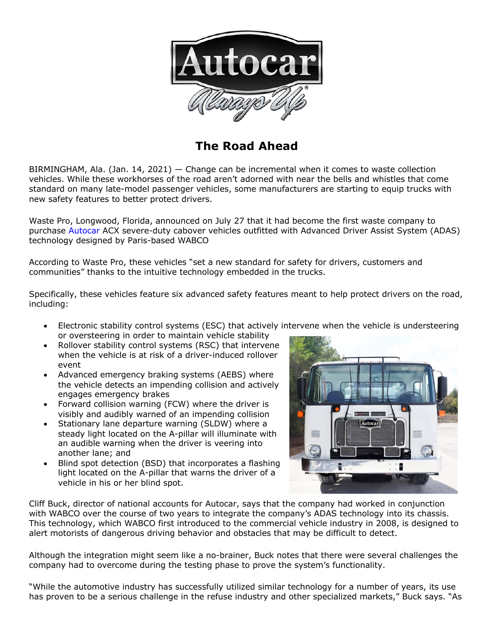

# **The Road Ahead**

BIRMINGHAM, Ala. (Jan. 14, 2021) — Change can be incremental when it comes to waste collection vehicles. While these workhorses of the road aren't adorned with near the bells and whistles that come standard on many late-model passenger vehicles, some manufacturers are starting to equip trucks with new safety features to better protect drivers.

Waste Pro, Longwood, Florida, announced on July 27 that it had become the first waste company to purchase Autocar ACX severe-duty cabover vehicles outfitted with Advanced Driver Assist System (ADAS) technology designed by Paris-based WABCO

According to Waste Pro, these vehicles "set a new standard for safety for drivers, customers and communities" thanks to the intuitive technology embedded in the trucks.

Specifically, these vehicles feature six advanced safety features meant to help protect drivers on the road, including:

- Electronic stability control systems (ESC) that actively intervene when the vehicle is understeering or oversteering in order to maintain vehicle stability
- Rollover stability control systems (RSC) that intervene when the vehicle is at risk of a driver-induced rollover event
- Advanced emergency braking systems (AEBS) where the vehicle detects an impending collision and actively engages emergency brakes
- Forward collision warning (FCW) where the driver is visibly and audibly warned of an impending collision
- Stationary lane departure warning (SLDW) where a steady light located on the A-pillar will illuminate with an audible warning when the driver is veering into another lane; and
- Blind spot detection (BSD) that incorporates a flashing light located on the A-pillar that warns the driver of a vehicle in his or her blind spot.



Cliff Buck, director of national accounts for Autocar, says that the company had worked in conjunction with WABCO over the course of two years to integrate the company's ADAS technology into its chassis. This technology, which WABCO first introduced to the commercial vehicle industry in 2008, is designed to alert motorists of dangerous driving behavior and obstacles that may be difficult to detect.

Although the integration might seem like a no-brainer, Buck notes that there were several challenges the company had to overcome during the testing phase to prove the system's functionality.

"While the automotive industry has successfully utilized similar technology for a number of years, its use has proven to be a serious challenge in the refuse industry and other specialized markets," Buck says. "As